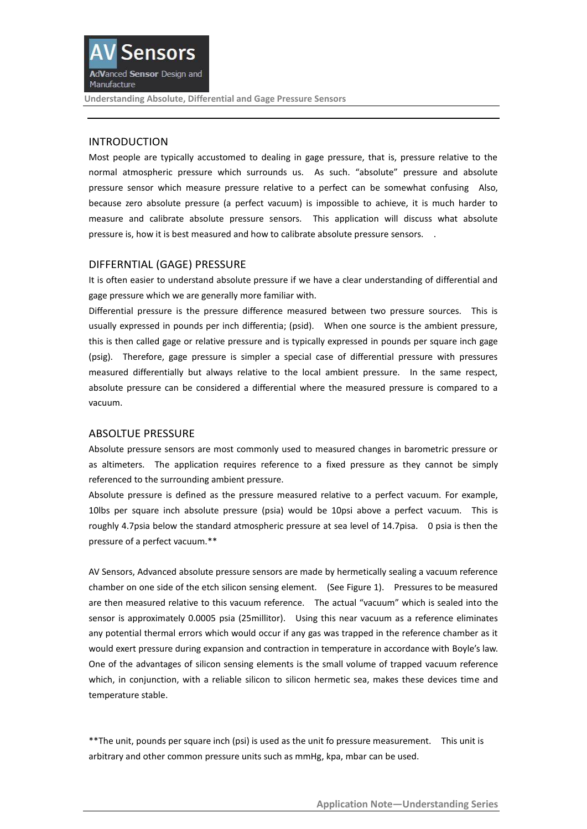

**Understanding Absolute, Differential and Gage Pressure Sensors**

# INTRODUCTION

Most people are typically accustomed to dealing in gage pressure, that is, pressure relative to the normal atmospheric pressure which surrounds us. As such. "absolute" pressure and absolute pressure sensor which measure pressure relative to a perfect can be somewhat confusing Also, because zero absolute pressure (a perfect vacuum) is impossible to achieve, it is much harder to measure and calibrate absolute pressure sensors. This application will discuss what absolute pressure is, how it is best measured and how to calibrate absolute pressure sensors. .

## DIFFERNTIAL (GAGE) PRESSURE

It is often easier to understand absolute pressure if we have a clear understanding of differential and gage pressure which we are generally more familiar with.

Differential pressure is the pressure difference measured between two pressure sources. This is usually expressed in pounds per inch differentia; (psid). When one source is the ambient pressure, this is then called gage or relative pressure and is typically expressed in pounds per square inch gage (psig). Therefore, gage pressure is simpler a special case of differential pressure with pressures measured differentially but always relative to the local ambient pressure. In the same respect, absolute pressure can be considered a differential where the measured pressure is compared to a vacuum.

#### ABSOLTUE PRESSURE

Absolute pressure sensors are most commonly used to measured changes in barometric pressure or as altimeters. The application requires reference to a fixed pressure as they cannot be simply referenced to the surrounding ambient pressure.

Absolute pressure is defined as the pressure measured relative to a perfect vacuum. For example, 10lbs per square inch absolute pressure (psia) would be 10psi above a perfect vacuum. This is roughly 4.7psia below the standard atmospheric pressure at sea level of 14.7pisa. 0 psia is then the pressure of a perfect vacuum.\*\*

AV Sensors, Advanced absolute pressure sensors are made by hermetically sealing a vacuum reference chamber on one side of the etch silicon sensing element. (See Figure 1). Pressures to be measured are then measured relative to this vacuum reference. The actual "vacuum" which is sealed into the sensor is approximately 0.0005 psia (25millitor). Using this near vacuum as a reference eliminates any potential thermal errors which would occur if any gas was trapped in the reference chamber as it would exert pressure during expansion and contraction in temperature in accordance with Boyle's law. One of the advantages of silicon sensing elements is the small volume of trapped vacuum reference which, in conjunction, with a reliable silicon to silicon hermetic sea, makes these devices time and temperature stable.

\*\*The unit, pounds per square inch (psi) is used as the unit fo pressure measurement. This unit is arbitrary and other common pressure units such as mmHg, kpa, mbar can be used.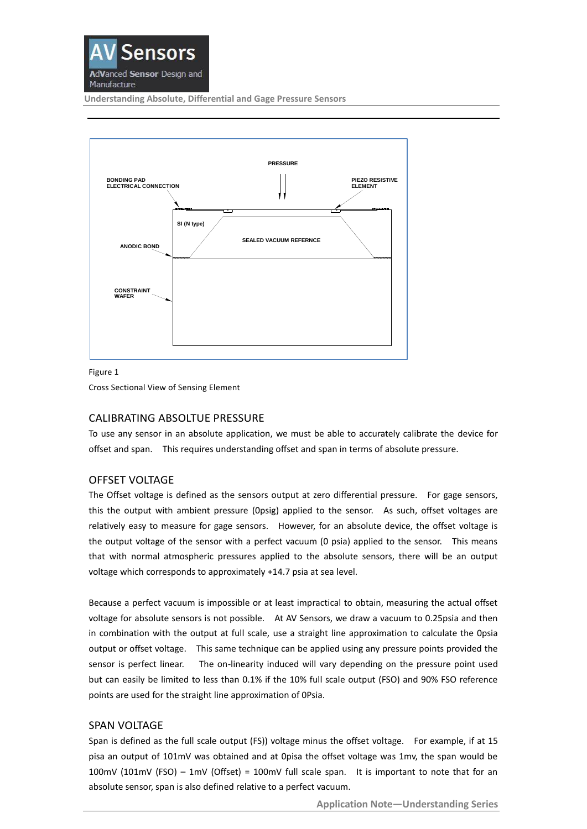

**Understanding Absolute, Differential and Gage Pressure Sensors**



Figure 1

Cross Sectional View of Sensing Element

### CALIBRATING ABSOLTUE PRESSURE

To use any sensor in an absolute application, we must be able to accurately calibrate the device for offset and span. This requires understanding offset and span in terms of absolute pressure.

### OFFSET VOLTAGE

The Offset voltage is defined as the sensors output at zero differential pressure. For gage sensors, this the output with ambient pressure (0psig) applied to the sensor. As such, offset voltages are relatively easy to measure for gage sensors. However, for an absolute device, the offset voltage is the output voltage of the sensor with a perfect vacuum (0 psia) applied to the sensor. This means that with normal atmospheric pressures applied to the absolute sensors, there will be an output voltage which corresponds to approximately +14.7 psia at sea level.

Because a perfect vacuum is impossible or at least impractical to obtain, measuring the actual offset voltage for absolute sensors is not possible. At AV Sensors, we draw a vacuum to 0.25psia and then in combination with the output at full scale, use a straight line approximation to calculate the 0psia output or offset voltage. This same technique can be applied using any pressure points provided the sensor is perfect linear. The on-linearity induced will vary depending on the pressure point used but can easily be limited to less than 0.1% if the 10% full scale output (FSO) and 90% FSO reference points are used for the straight line approximation of 0Psia.

### SPAN VOLTAGE

Span is defined as the full scale output (FS)) voltage minus the offset voltage. For example, if at 15 pisa an output of 101mV was obtained and at 0pisa the offset voltage was 1mv, the span would be 100mV (101mV (FSO) – 1mV (Offset) = 100mV full scale span. It is important to note that for an